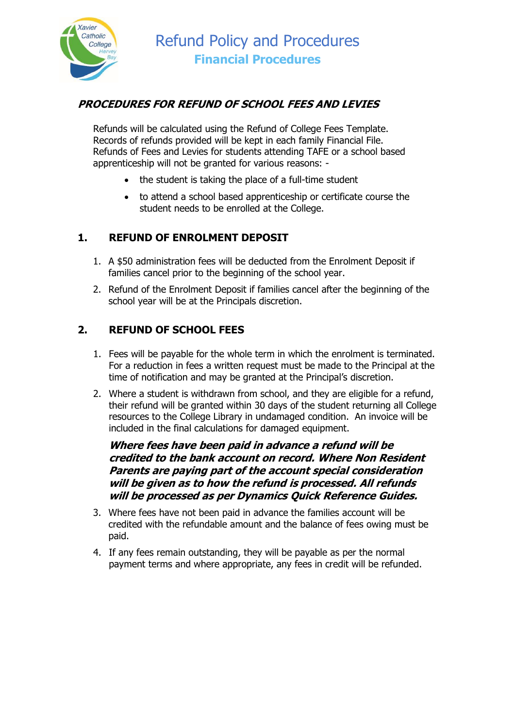

# PROCEDURES FOR REFUND OF SCHOOL FEES AND LEVIES

Refunds will be calculated using the Refund of College Fees Template. Records of refunds provided will be kept in each family Financial File. Refunds of Fees and Levies for students attending TAFE or a school based apprenticeship will not be granted for various reasons: -

- the student is taking the place of a full-time student
- to attend a school based apprenticeship or certificate course the student needs to be enrolled at the College.

### 1. REFUND OF ENROLMENT DEPOSIT

- 1. A \$50 administration fees will be deducted from the Enrolment Deposit if families cancel prior to the beginning of the school year.
- 2. Refund of the Enrolment Deposit if families cancel after the beginning of the school year will be at the Principals discretion.

# 2. REFUND OF SCHOOL FEES

- 1. Fees will be payable for the whole term in which the enrolment is terminated. For a reduction in fees a written request must be made to the Principal at the time of notification and may be granted at the Principal's discretion.
- 2. Where a student is withdrawn from school, and they are eligible for a refund, their refund will be granted within 30 days of the student returning all College resources to the College Library in undamaged condition. An invoice will be included in the final calculations for damaged equipment.

#### Where fees have been paid in advance a refund will be credited to the bank account on record. Where Non Resident Parents are paying part of the account special consideration will be given as to how the refund is processed. All refunds will be processed as per Dynamics Quick Reference Guides.

- 3. Where fees have not been paid in advance the families account will be credited with the refundable amount and the balance of fees owing must be paid.
- 4. If any fees remain outstanding, they will be payable as per the normal payment terms and where appropriate, any fees in credit will be refunded.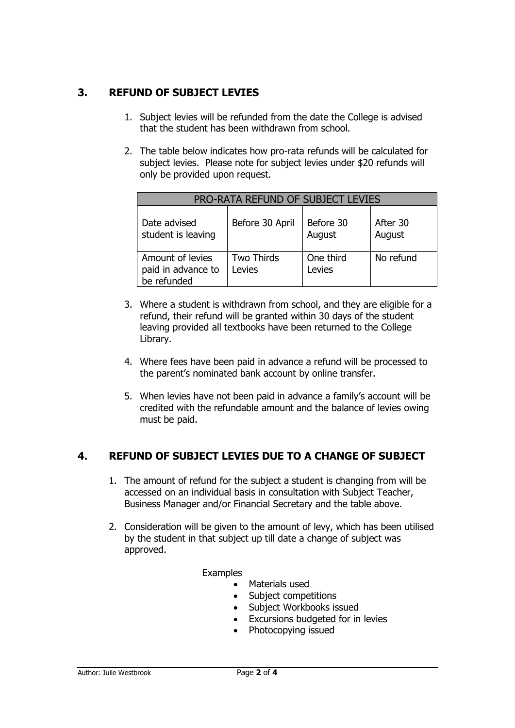### 3. REFUND OF SUBJECT LEVIES

- 1. Subject levies will be refunded from the date the College is advised that the student has been withdrawn from school.
- 2. The table below indicates how pro-rata refunds will be calculated for subject levies. Please note for subject levies under \$20 refunds will only be provided upon request.

| <b>PRO-RATA REFUND OF SUBJECT LEVIES</b>              |                      |                     |                    |  |  |  |  |
|-------------------------------------------------------|----------------------|---------------------|--------------------|--|--|--|--|
| Date advised<br>student is leaving                    | Before 30 April      | Before 30<br>August | After 30<br>August |  |  |  |  |
| Amount of levies<br>paid in advance to<br>be refunded | Two Thirds<br>Levies | One third<br>Levies | No refund          |  |  |  |  |

- 3. Where a student is withdrawn from school, and they are eligible for a refund, their refund will be granted within 30 days of the student leaving provided all textbooks have been returned to the College Library.
- 4. Where fees have been paid in advance a refund will be processed to the parent's nominated bank account by online transfer.
- 5. When levies have not been paid in advance a family's account will be credited with the refundable amount and the balance of levies owing must be paid.

# 4. REFUND OF SUBJECT LEVIES DUE TO A CHANGE OF SUBJECT

- 1. The amount of refund for the subject a student is changing from will be accessed on an individual basis in consultation with Subject Teacher, Business Manager and/or Financial Secretary and the table above.
- 2. Consideration will be given to the amount of levy, which has been utilised by the student in that subject up till date a change of subject was approved.

#### Examples

- Materials used
- Subject competitions
- Subject Workbooks issued
- Excursions budgeted for in levies
- Photocopying issued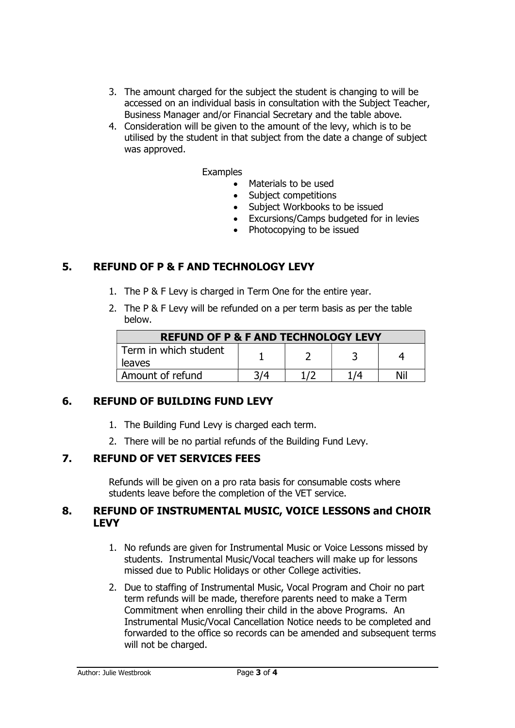- 3. The amount charged for the subject the student is changing to will be accessed on an individual basis in consultation with the Subject Teacher, Business Manager and/or Financial Secretary and the table above.
- 4. Consideration will be given to the amount of the levy, which is to be utilised by the student in that subject from the date a change of subject was approved.

#### Examples

- Materials to be used
- Subject competitions
- Subject Workbooks to be issued
- Excursions/Camps budgeted for in levies
- Photocopying to be issued

### 5. REFUND OF P & F AND TECHNOLOGY LEVY

- 1. The P & F Levy is charged in Term One for the entire year.
- 2. The P & F Levy will be refunded on a per term basis as per the table below.

| <b>REFUND OF P &amp; F AND TECHNOLOGY LEVY</b> |     |  |       |     |  |  |
|------------------------------------------------|-----|--|-------|-----|--|--|
| Term in which student<br>leaves                |     |  |       |     |  |  |
| Amount of refund                               | 314 |  | 1 / 4 | Nil |  |  |

### 6. REFUND OF BUILDING FUND LEVY

- 1. The Building Fund Levy is charged each term.
- 2. There will be no partial refunds of the Building Fund Levy.

# 7. REFUND OF VET SERVICES FEES

Refunds will be given on a pro rata basis for consumable costs where students leave before the completion of the VET service.

#### 8. REFUND OF INSTRUMENTAL MUSIC, VOICE LESSONS and CHOIR **LEVY**

- 1. No refunds are given for Instrumental Music or Voice Lessons missed by students. Instrumental Music/Vocal teachers will make up for lessons missed due to Public Holidays or other College activities.
- 2. Due to staffing of Instrumental Music, Vocal Program and Choir no part term refunds will be made, therefore parents need to make a Term Commitment when enrolling their child in the above Programs. An Instrumental Music/Vocal Cancellation Notice needs to be completed and forwarded to the office so records can be amended and subsequent terms will not be charged.